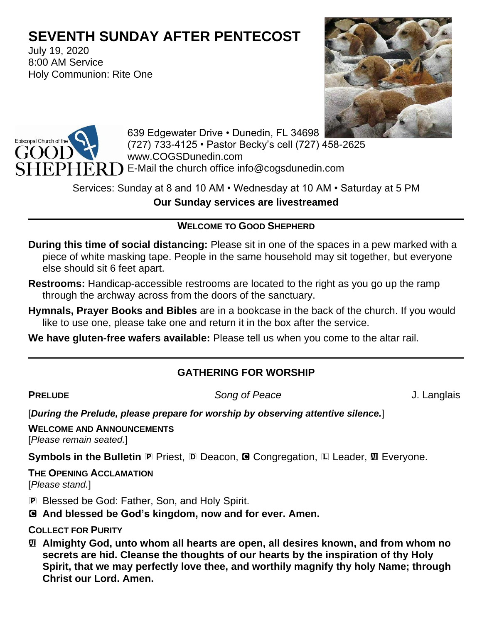# **SEVENTH SUNDAY AFTER PENTECOST**

July 19, 2020 8:00 AM Service Holy Communion: Rite One





639 Edgewater Drive • Dunedin, FL 34698 (727) 733-4125 • Pastor Becky's cell (727) 458-2625 www.COGSDunedin.com E-Mail the church office info@cogsdunedin.com

Services: Sunday at 8 and 10 AM • Wednesday at 10 AM • Saturday at 5 PM **Our Sunday services are livestreamed**

#### **WELCOME TO GOOD SHEPHERD**

**During this time of social distancing:** Please sit in one of the spaces in a pew marked with a piece of white masking tape. People in the same household may sit together, but everyone else should sit 6 feet apart.

- **Restrooms:** Handicap-accessible restrooms are located to the right as you go up the ramp through the archway across from the doors of the sanctuary.
- **Hymnals, Prayer Books and Bibles** are in a bookcase in the back of the church. If you would like to use one, please take one and return it in the box after the service.

**We have gluten-free wafers available:** Please tell us when you come to the altar rail.

# **GATHERING FOR WORSHIP**

**PRELUDE** *Song of Peace* J. Langlais

[*During the Prelude, please prepare for worship by observing attentive silence.*]

**WELCOME AND ANNOUNCEMENTS** [*Please remain seated.*]

**Symbols in the Bulletin <b>P** Priest, **D** Deacon, **G** Congregation, **L** Leader, **M** Everyone.

**THE OPENING ACCLAMATION** [*Please stand.*]

- P Blessed be God: Father, Son, and Holy Spirit.
- C **And blessed be God's kingdom, now and for ever. Amen.**

#### **COLLECT FOR PURITY**

a **Almighty God, unto whom all hearts are open, all desires known, and from whom no secrets are hid. Cleanse the thoughts of our hearts by the inspiration of thy Holy Spirit, that we may perfectly love thee, and worthily magnify thy holy Name; through Christ our Lord. Amen.**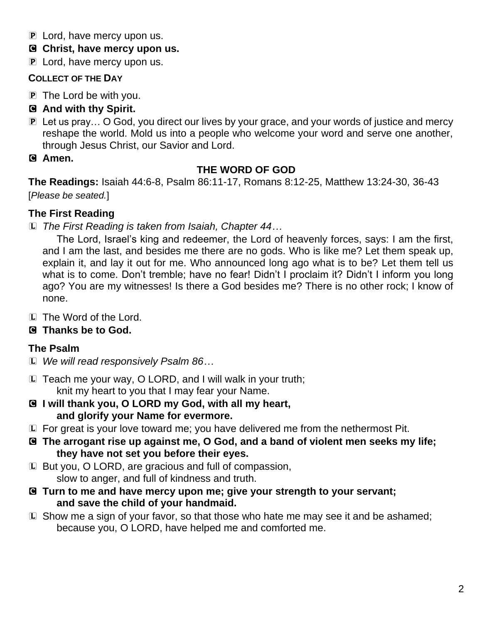- P Lord, have mercy upon us.
- C **Christ, have mercy upon us.**
- **P** Lord, have mercy upon us.

# **COLLECT OF THE DAY**

P The Lord be with you.

# C **And with thy Spirit.**

- P Let us pray… O God, you direct our lives by your grace, and your words of justice and mercy reshape the world. Mold us into a people who welcome your word and serve one another, through Jesus Christ, our Savior and Lord.
- C **Amen.**

# **THE WORD OF GOD**

**The Readings:** Isaiah 44:6-8, Psalm 86:11-17, Romans 8:12-25, Matthew 13:24-30, 36-43 [*Please be seated.*]

# **The First Reading**

L *The First Reading is taken from Isaiah, Chapter 44…*

The Lord, Israel's king and redeemer, the Lord of heavenly forces, says: I am the first, and I am the last, and besides me there are no gods. Who is like me? Let them speak up, explain it, and lay it out for me. Who announced long ago what is to be? Let them tell us what is to come. Don't tremble; have no fear! Didn't I proclaim it? Didn't I inform you long ago? You are my witnesses! Is there a God besides me? There is no other rock; I know of none.

- L The Word of the Lord.
- C **Thanks be to God.**

# **The Psalm**

- L *We will read responsively Psalm 86…*
- L Teach me your way, O LORD, and I will walk in your truth; knit my heart to you that I may fear your Name.
- C **I will thank you, O LORD my God, with all my heart, and glorify your Name for evermore.**
- L For great is your love toward me; you have delivered me from the nethermost Pit.
- C **The arrogant rise up against me, O God, and a band of violent men seeks my life; they have not set you before their eyes.**
- L But you, O LORD, are gracious and full of compassion, slow to anger, and full of kindness and truth.
- C **Turn to me and have mercy upon me; give your strength to your servant; and save the child of your handmaid.**
- L Show me a sign of your favor, so that those who hate me may see it and be ashamed; because you, O LORD, have helped me and comforted me.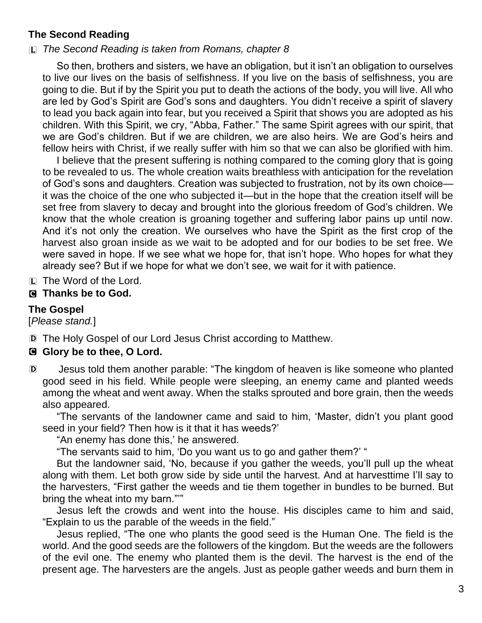### **The Second Reading**

#### L *The Second Reading is taken from Romans, chapter 8*

So then, brothers and sisters, we have an obligation, but it isn't an obligation to ourselves to live our lives on the basis of selfishness. If you live on the basis of selfishness, you are going to die. But if by the Spirit you put to death the actions of the body, you will live. All who are led by God's Spirit are God's sons and daughters. You didn't receive a spirit of slavery to lead you back again into fear, but you received a Spirit that shows you are adopted as his children. With this Spirit, we cry, "Abba, Father." The same Spirit agrees with our spirit, that we are God's children. But if we are children, we are also heirs. We are God's heirs and fellow heirs with Christ, if we really suffer with him so that we can also be glorified with him.

I believe that the present suffering is nothing compared to the coming glory that is going to be revealed to us. The whole creation waits breathless with anticipation for the revelation of God's sons and daughters. Creation was subjected to frustration, not by its own choice it was the choice of the one who subjected it—but in the hope that the creation itself will be set free from slavery to decay and brought into the glorious freedom of God's children. We know that the whole creation is groaning together and suffering labor pains up until now. And it's not only the creation. We ourselves who have the Spirit as the first crop of the harvest also groan inside as we wait to be adopted and for our bodies to be set free. We were saved in hope. If we see what we hope for, that isn't hope. Who hopes for what they already see? But if we hope for what we don't see, we wait for it with patience.

L The Word of the Lord.

#### C **Thanks be to God.**

#### **The Gospel**

[*Please stand.*]

D The Holy Gospel of our Lord Jesus Christ according to Matthew.

#### C **Glory be to thee, O Lord.**

D Jesus told them another parable: "The kingdom of heaven is like someone who planted good seed in his field. While people were sleeping, an enemy came and planted weeds among the wheat and went away. When the stalks sprouted and bore grain, then the weeds also appeared.

"The servants of the landowner came and said to him, 'Master, didn't you plant good seed in your field? Then how is it that it has weeds?'

"An enemy has done this,' he answered.

"The servants said to him, 'Do you want us to go and gather them?' "

But the landowner said, 'No, because if you gather the weeds, you'll pull up the wheat along with them. Let both grow side by side until the harvest. And at harvesttime I'll say to the harvesters, "First gather the weeds and tie them together in bundles to be burned. But bring the wheat into my barn."'"

Jesus left the crowds and went into the house. His disciples came to him and said, "Explain to us the parable of the weeds in the field."

Jesus replied, "The one who plants the good seed is the Human One. The field is the world. And the good seeds are the followers of the kingdom. But the weeds are the followers of the evil one. The enemy who planted them is the devil. The harvest is the end of the present age. The harvesters are the angels. Just as people gather weeds and burn them in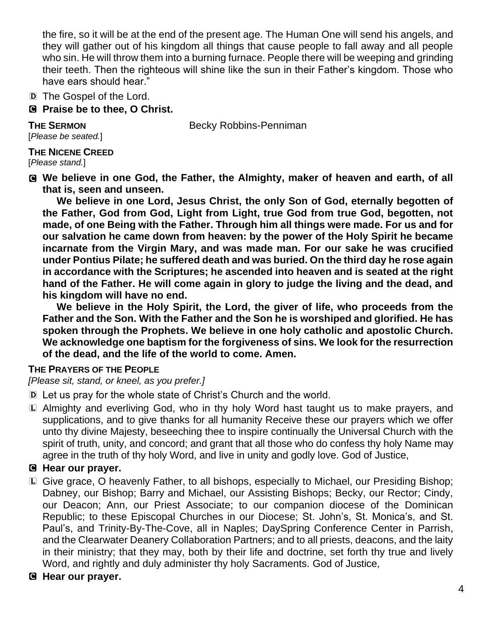the fire, so it will be at the end of the present age. The Human One will send his angels, and they will gather out of his kingdom all things that cause people to fall away and all people who sin. He will throw them into a burning furnace. People there will be weeping and grinding their teeth. Then the righteous will shine like the sun in their Father's kingdom. Those who have ears should hear."

D The Gospel of the Lord.

#### C **Praise be to thee, O Christ.**

**THE SERMON** Becky Robbins-Penniman

[*Please be seated.*]

**THE NICENE CREED**  [*Please stand.*]

C **We believe in one God, the Father, the Almighty, maker of heaven and earth, of all that is, seen and unseen.** 

**We believe in one Lord, Jesus Christ, the only Son of God, eternally begotten of the Father, God from God, Light from Light, true God from true God, begotten, not made, of one Being with the Father. Through him all things were made. For us and for our salvation he came down from heaven: by the power of the Holy Spirit he became incarnate from the Virgin Mary, and was made man. For our sake he was crucified under Pontius Pilate; he suffered death and was buried. On the third day he rose again in accordance with the Scriptures; he ascended into heaven and is seated at the right hand of the Father. He will come again in glory to judge the living and the dead, and his kingdom will have no end.**

**We believe in the Holy Spirit, the Lord, the giver of life, who proceeds from the Father and the Son. With the Father and the Son he is worshiped and glorified. He has spoken through the Prophets. We believe in one holy catholic and apostolic Church. We acknowledge one baptism for the forgiveness of sins. We look for the resurrection of the dead, and the life of the world to come. Amen.**

#### **THE PRAYERS OF THE PEOPLE**

*[Please sit, stand, or kneel, as you prefer.]*

- D Let us pray for the whole state of Christ's Church and the world.
- L Almighty and everliving God, who in thy holy Word hast taught us to make prayers, and supplications, and to give thanks for all humanity Receive these our prayers which we offer unto thy divine Majesty, beseeching thee to inspire continually the Universal Church with the spirit of truth, unity, and concord; and grant that all those who do confess thy holy Name may agree in the truth of thy holy Word, and live in unity and godly love. God of Justice,

#### C **Hear our prayer.**

L Give grace, O heavenly Father, to all bishops, especially to Michael, our Presiding Bishop; Dabney, our Bishop; Barry and Michael, our Assisting Bishops; Becky, our Rector; Cindy, our Deacon; Ann, our Priest Associate; to our companion diocese of the Dominican Republic; to these Episcopal Churches in our Diocese; St. John's, St. Monica's, and St. Paul's, and Trinity-By-The-Cove, all in Naples; DaySpring Conference Center in Parrish, and the Clearwater Deanery Collaboration Partners; and to all priests, deacons, and the laity in their ministry; that they may, both by their life and doctrine, set forth thy true and lively Word, and rightly and duly administer thy holy Sacraments. God of Justice,

#### C **Hear our prayer.**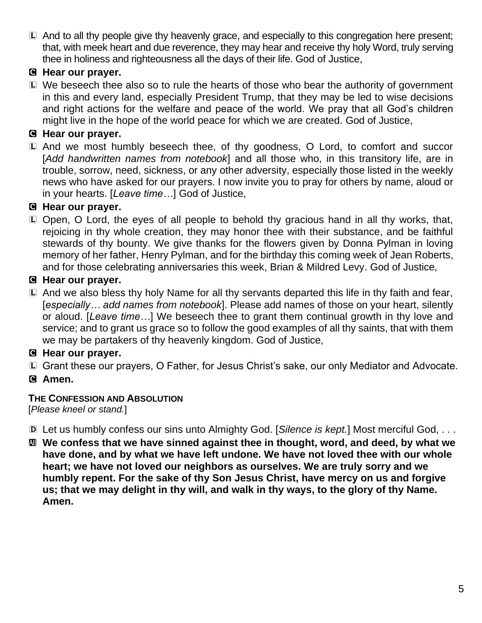L And to all thy people give thy heavenly grace, and especially to this congregation here present; that, with meek heart and due reverence, they may hear and receive thy holy Word, truly serving thee in holiness and righteousness all the days of their life. God of Justice,

#### C **Hear our prayer.**

L We beseech thee also so to rule the hearts of those who bear the authority of government in this and every land, especially President Trump, that they may be led to wise decisions and right actions for the welfare and peace of the world. We pray that all God's children might live in the hope of the world peace for which we are created. God of Justice,

## C **Hear our prayer.**

L And we most humbly beseech thee, of thy goodness, O Lord, to comfort and succor [*Add handwritten names from notebook*] and all those who, in this transitory life, are in trouble, sorrow, need, sickness, or any other adversity, especially those listed in the weekly news who have asked for our prayers. I now invite you to pray for others by name, aloud or in your hearts. [*Leave time…*] God of Justice,

# C **Hear our prayer.**

L Open, O Lord, the eyes of all people to behold thy gracious hand in all thy works, that, rejoicing in thy whole creation, they may honor thee with their substance, and be faithful stewards of thy bounty. We give thanks for the flowers given by Donna Pylman in loving memory of her father, Henry Pylman, and for the birthday this coming week of Jean Roberts, and for those celebrating anniversaries this week, Brian & Mildred Levy. God of Justice,

#### C **Hear our prayer.**

L And we also bless thy holy Name for all thy servants departed this life in thy faith and fear, [*especially… add names from notebook*]. Please add names of those on your heart, silently or aloud. [*Leave time…*] We beseech thee to grant them continual growth in thy love and service; and to grant us grace so to follow the good examples of all thy saints, that with them we may be partakers of thy heavenly kingdom. God of Justice,

# C **Hear our prayer.**

L Grant these our prayers, O Father, for Jesus Christ's sake, our only Mediator and Advocate.

C **Amen.**

# **THE CONFESSION AND ABSOLUTION**

[*Please kneel or stand.*]

- D Let us humbly confess our sins unto Almighty God. [*Silence is kept.*] Most merciful God, . . .
- a **We confess that we have sinned against thee in thought, word, and deed, by what we have done, and by what we have left undone. We have not loved thee with our whole heart; we have not loved our neighbors as ourselves. We are truly sorry and we humbly repent. For the sake of thy Son Jesus Christ, have mercy on us and forgive us; that we may delight in thy will, and walk in thy ways, to the glory of thy Name. Amen.**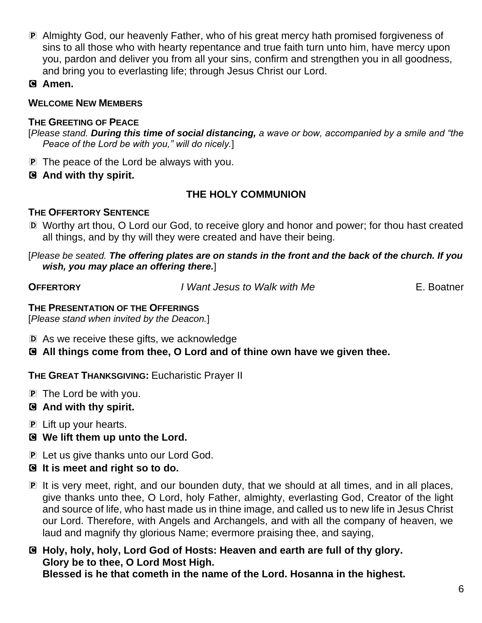- P Almighty God, our heavenly Father, who of his great mercy hath promised forgiveness of sins to all those who with hearty repentance and true faith turn unto him, have mercy upon you, pardon and deliver you from all your sins, confirm and strengthen you in all goodness, and bring you to everlasting life; through Jesus Christ our Lord.
- C **Amen.**

#### **WELCOME NEW MEMBERS**

#### **THE GREETING OF PEACE**

[*Please stand. During this time of social distancing, a wave or bow, accompanied by a smile and "the Peace of the Lord be with you," will do nicely.*]

P The peace of the Lord be always with you.

C **And with thy spirit.**

# **THE HOLY COMMUNION**

#### **THE OFFERTORY SENTENCE**

D Worthy art thou, O Lord our God, to receive glory and honor and power; for thou hast created all things, and by thy will they were created and have their being.

[*Please be seated. The offering plates are on stands in the front and the back of the church. If you wish, you may place an offering there.*]

**OFFERTORY** *I Want Jesus to Walk with Me* E. Boatner

#### **THE PRESENTATION OF THE OFFERINGS**

[*Please stand when invited by the Deacon.*]

- D As we receive these gifts, we acknowledge
- C **All things come from thee, O Lord and of thine own have we given thee.**

**THE GREAT THANKSGIVING:** Eucharistic Prayer II

- P The Lord be with you.
- C **And with thy spirit.**
- P Lift up your hearts.
- C **We lift them up unto the Lord.**
- P Let us give thanks unto our Lord God.
- C **It is meet and right so to do.**
- P It is very meet, right, and our bounden duty, that we should at all times, and in all places, give thanks unto thee, O Lord, holy Father, almighty, everlasting God, Creator of the light and source of life, who hast made us in thine image, and called us to new life in Jesus Christ our Lord. Therefore, with Angels and Archangels, and with all the company of heaven, we laud and magnify thy glorious Name; evermore praising thee, and saying,
- C **Holy, holy, holy, Lord God of Hosts: Heaven and earth are full of thy glory. Glory be to thee, O Lord Most High. Blessed is he that cometh in the name of the Lord. Hosanna in the highest.**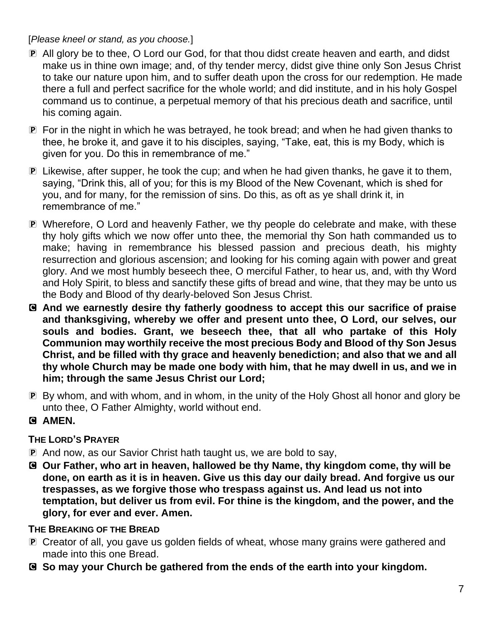### [*Please kneel or stand, as you choose.*]

- P All glory be to thee, O Lord our God, for that thou didst create heaven and earth, and didst make us in thine own image; and, of thy tender mercy, didst give thine only Son Jesus Christ to take our nature upon him, and to suffer death upon the cross for our redemption. He made there a full and perfect sacrifice for the whole world; and did institute, and in his holy Gospel command us to continue, a perpetual memory of that his precious death and sacrifice, until his coming again.
- P For in the night in which he was betrayed, he took bread; and when he had given thanks to thee, he broke it, and gave it to his disciples, saying, "Take, eat, this is my Body, which is given for you. Do this in remembrance of me."
- P Likewise, after supper, he took the cup; and when he had given thanks, he gave it to them, saying, "Drink this, all of you; for this is my Blood of the New Covenant, which is shed for you, and for many, for the remission of sins. Do this, as oft as ye shall drink it, in remembrance of me."
- P Wherefore, O Lord and heavenly Father, we thy people do celebrate and make, with these thy holy gifts which we now offer unto thee, the memorial thy Son hath commanded us to make; having in remembrance his blessed passion and precious death, his mighty resurrection and glorious ascension; and looking for his coming again with power and great glory. And we most humbly beseech thee, O merciful Father, to hear us, and, with thy Word and Holy Spirit, to bless and sanctify these gifts of bread and wine, that they may be unto us the Body and Blood of thy dearly-beloved Son Jesus Christ.
- C **And we earnestly desire thy fatherly goodness to accept this our sacrifice of praise and thanksgiving, whereby we offer and present unto thee, O Lord, our selves, our souls and bodies. Grant, we beseech thee, that all who partake of this Holy Communion may worthily receive the most precious Body and Blood of thy Son Jesus Christ, and be filled with thy grace and heavenly benediction; and also that we and all thy whole Church may be made one body with him, that he may dwell in us, and we in him; through the same Jesus Christ our Lord;**
- P By whom, and with whom, and in whom, in the unity of the Holy Ghost all honor and glory be unto thee, O Father Almighty, world without end.
- C **AMEN.**

# **THE LORD'S PRAYER**

- P And now, as our Savior Christ hath taught us, we are bold to say,
- C **Our Father, who art in heaven, hallowed be thy Name, thy kingdom come, thy will be done, on earth as it is in heaven. Give us this day our daily bread. And forgive us our trespasses, as we forgive those who trespass against us. And lead us not into temptation, but deliver us from evil. For thine is the kingdom, and the power, and the glory, for ever and ever. Amen.**

# **THE BREAKING OF THE BREAD**

- P Creator of all, you gave us golden fields of wheat, whose many grains were gathered and made into this one Bread.
- C **So may your Church be gathered from the ends of the earth into your kingdom.**